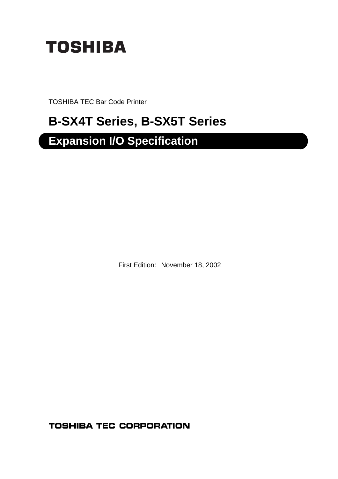

TOSHIBA TEC Bar Code Printer

# **B-SX4T Series, B-SX5T Series**

# **Expansion I/O Specification**

First Edition: November 18, 2002

**TOSHIBA TEC CORPORATION**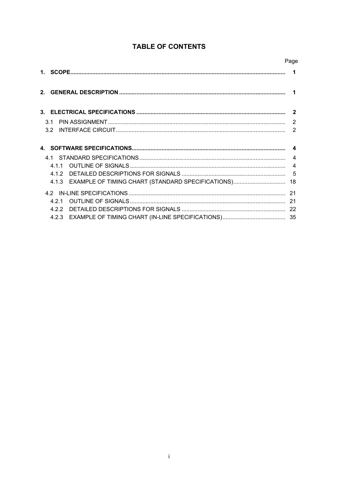|                                                            | Page                   |
|------------------------------------------------------------|------------------------|
|                                                            | 1                      |
|                                                            | 1                      |
|                                                            |                        |
| 3 1                                                        |                        |
|                                                            | $\mathcal{P}$          |
|                                                            |                        |
|                                                            | $\boldsymbol{\Lambda}$ |
|                                                            | $\overline{4}$         |
| 411                                                        | $\boldsymbol{\Delta}$  |
| 412                                                        |                        |
| EXAMPLE OF TIMING CHART (STANDARD SPECIFICATIONS)<br>4.1.3 | 18                     |
|                                                            |                        |
| 421                                                        | 21                     |
| 422                                                        |                        |
| 4.2.3                                                      |                        |

# **TABLE OF CONTENTS**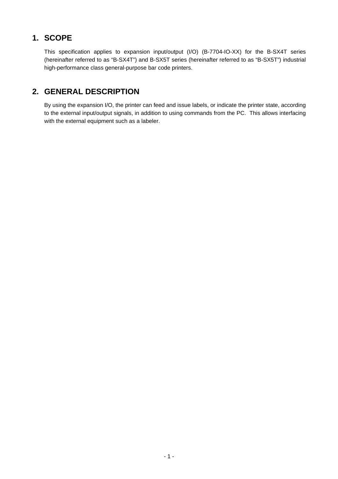# **1. SCOPE**

This specification applies to expansion input/output (I/O) (B-7704-IO-XX) for the B-SX4T series (hereinafter referred to as "B-SX4T") and B-SX5T series (hereinafter referred to as "B-SX5T") industrial high-performance class general-purpose bar code printers.

# **2. GENERAL DESCRIPTION**

By using the expansion I/O, the printer can feed and issue labels, or indicate the printer state, according to the external input/output signals, in addition to using commands from the PC. This allows interfacing with the external equipment such as a labeler.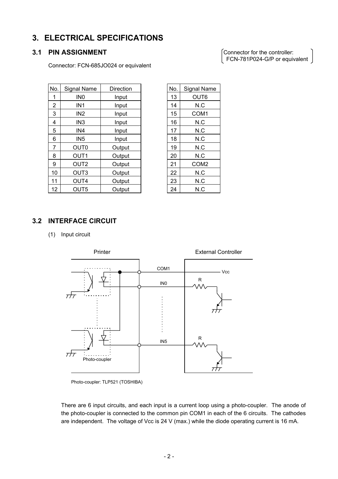# **3. ELECTRICAL SPECIFICATIONS**

## **3.1 PIN ASSIGNMENT**

Connector: FCN-685JO024 or equivalent

Connector for the controller: FCN-781P024-G/P or equivalent

| No.            | <b>Signal Name</b> | Direction | No. | Signal Name      |
|----------------|--------------------|-----------|-----|------------------|
| 1              | IN <sub>0</sub>    | Input     | 13  | OUT6             |
| $\overline{2}$ | IN <sub>1</sub>    | Input     | 14  | N.C              |
| 3              | IN <sub>2</sub>    | Input     | 15  | COM1             |
| 4              | IN <sub>3</sub>    | Input     | 16  | N.C              |
| 5              | IN4                | Input     | 17  | N.C              |
| 6              | IN <sub>5</sub>    | Input     | 18  | N.C              |
| 7              | OUT <sub>0</sub>   | Output    | 19  | N.C              |
| 8              | OUT <sub>1</sub>   | Output    | 20  | N.C              |
| 9              | OUT <sub>2</sub>   | Output    | 21  | COM <sub>2</sub> |
| 10             | OUT <sub>3</sub>   | Output    | 22  | N.C              |
| 11             | OUT4               | Output    | 23  | N.C              |
| 12             | OUT <sub>5</sub>   | Output    | 24  | N.C              |

| 13<br>OUT6<br>N.C<br>14 |  |
|-------------------------|--|
|                         |  |
|                         |  |
| 15<br>COM1              |  |
| 16<br>N.C               |  |
| 17<br>N.C               |  |
| N.C<br>18               |  |
| 19<br>N.C               |  |
| N.C<br>20               |  |
| 21<br>COM2              |  |
| N.C<br>22               |  |
| N.C<br>23               |  |
| N.C<br>24               |  |

## **3.2 INTERFACE CIRCUIT**

(1) Input circuit



Photo-coupler: TLP521 (TOSHIBA)

There are 6 input circuits, and each input is a current loop using a photo-coupler. The anode of the photo-coupler is connected to the common pin COM1 in each of the 6 circuits. The cathodes are independent. The voltage of Vcc is 24 V (max.) while the diode operating current is 16 mA.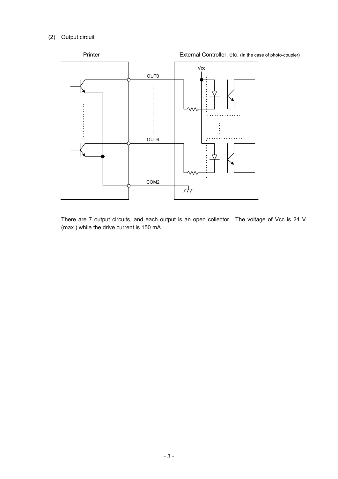### (2) Output circuit



There are 7 output circuits, and each output is an open collector. The voltage of Vcc is 24 V (max.) while the drive current is 150 mA.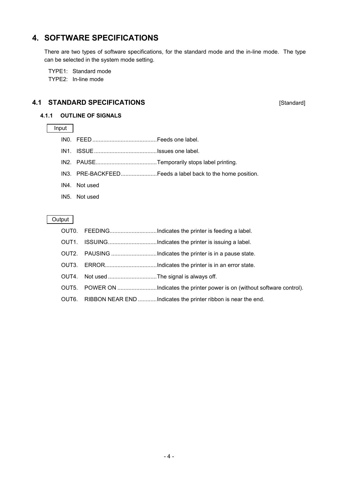# **4. SOFTWARE SPECIFICATIONS**

There are two types of software specifications, for the standard mode and the in-line mode. The type can be selected in the system mode setting.

TYPE1: Standard mode TYPE2: In-line mode

### **4.1 STANDARD SPECIFICATIONS**

[Standard]

### **4.1.1 OUTLINE OF SIGNALS**

### Input

- IN0. FEED .........................................Feeds one label.
- IN1. ISSUE........................................Issues one label.
- IN2. PAUSE.......................................Temporarily stops label printing.
- IN3. PRE-BACKFEED.......................Feeds a label back to the home position.
- IN4. Not used
- IN5. Not used

#### Output

- OUT0. FEEDING................................Indicates the printer is feeding a label.
- OUT1. ISSUING................................Indicates the printer is issuing a label.
- OUT2. PAUSING .............................Indicates the printer is in a pause state.
- OUT3. ERROR.................................Indicates the printer is in an error state.
- OUT4. Not used ...............................The signal is always off.
- OUT5. POWER ON ...........................Indicates the printer power is on (without software control).
- OUT6. RIBBON NEAR END ............Indicates the printer ribbon is near the end.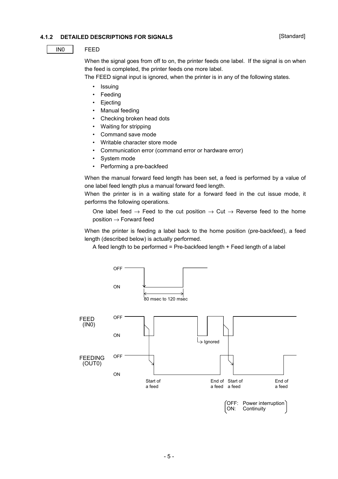### **4.1.2 DETAILED DESCRIPTIONS FOR SIGNALS**

#### IN0 FEED

When the signal goes from off to on, the printer feeds one label. If the signal is on when the feed is completed, the printer feeds one more label.

The FEED signal input is ignored, when the printer is in any of the following states.

- Issuing
- **Feeding**
- **Ejecting**
- Manual feeding
- Checking broken head dots
- Waiting for stripping
- Command save mode
- Writable character store mode
- Communication error (command error or hardware error)
- System mode
- Performing a pre-backfeed

When the manual forward feed length has been set, a feed is performed by a value of one label feed length plus a manual forward feed length.

When the printer is in a waiting state for a forward feed in the cut issue mode, it performs the following operations.

One label feed  $\rightarrow$  Feed to the cut position  $\rightarrow$  Cut  $\rightarrow$  Reverse feed to the home  $position \rightarrow Forward feed$ 

When the printer is feeding a label back to the home position (pre-backfeed), a feed length (described below) is actually performed.

A feed length to be performed = Pre-backfeed length  $+$  Feed length of a label

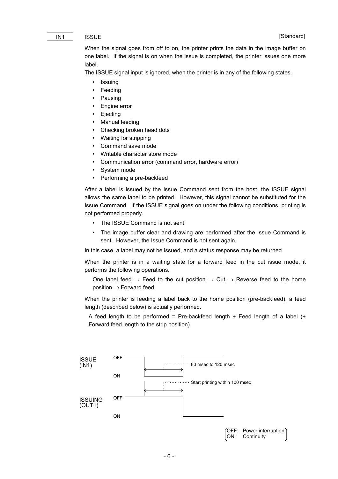#### **[Standard]**

#### IN1 | ISSUE

When the signal goes from off to on, the printer prints the data in the image buffer on one label. If the signal is on when the issue is completed, the printer issues one more label.

The ISSUE signal input is ignored, when the printer is in any of the following states.

- Issuing
- **Feeding**
- **Pausing**
- Engine error
- **Ejecting**
- Manual feeding
- Checking broken head dots
- Waiting for stripping
- Command save mode
- Writable character store mode
- Communication error (command error, hardware error)
- System mode
- Performing a pre-backfeed

After a label is issued by the Issue Command sent from the host, the ISSUE signal allows the same label to be printed. However, this signal cannot be substituted for the Issue Command. If the ISSUE signal goes on under the following conditions, printing is not performed properly.

- The ISSUE Command is not sent.
- The image buffer clear and drawing are performed after the Issue Command is sent. However, the Issue Command is not sent again.

In this case, a label may not be issued, and a status response may be returned.

When the printer is in a waiting state for a forward feed in the cut issue mode, it performs the following operations.

One label feed  $\rightarrow$  Feed to the cut position  $\rightarrow$  Cut  $\rightarrow$  Reverse feed to the home  $position \rightarrow Forward feed$ 

When the printer is feeding a label back to the home position (pre-backfeed), a feed length (described below) is actually performed.

A feed length to be performed = Pre-backfeed length + Feed length of a label  $(+)$ Forward feed length to the strip position)

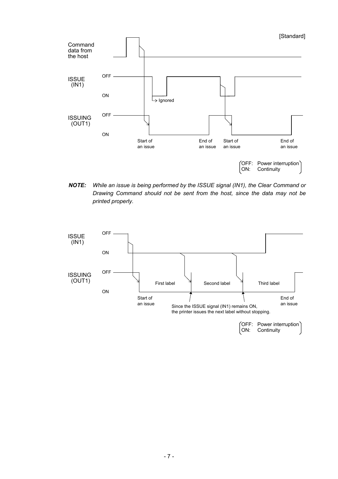

*NOTE: While an issue is being performed by the ISSUE signal (IN1), the Clear Command or Drawing Command should not be sent from the host, since the data may not be printed properly.*



(OFF: Power interruption) ON: Continuity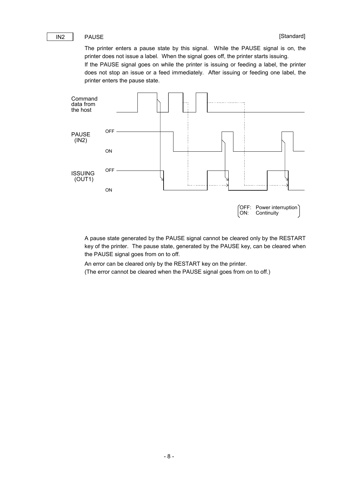#### IN2 PAUSE

The printer enters a pause state by this signal. While the PAUSE signal is on, the printer does not issue a label. When the signal goes off, the printer starts issuing.

If the PAUSE signal goes on while the printer is issuing or feeding a label, the printer does not stop an issue or a feed immediately. After issuing or feeding one label, the printer enters the pause state.



A pause state generated by the PAUSE signal cannot be cleared only by the RESTART key of the printer. The pause state, generated by the PAUSE key, can be cleared when the PAUSE signal goes from on to off.

An error can be cleared only by the RESTART key on the printer. (The error cannot be cleared when the PAUSE signal goes from on to off.)

- 8 -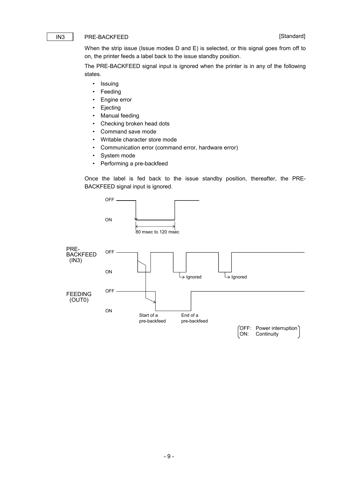#### [Standard]

#### IN3 PRE-BACKFEED

When the strip issue (Issue modes D and E) is selected, or this signal goes from off to on, the printer feeds a label back to the issue standby position.

The PRE-BACKFEED signal input is ignored when the printer is in any of the following states.

- Issuing
- Feeding
- Engine error
- Ejecting
- Manual feeding
- Checking broken head dots
- Command save mode
- Writable character store mode
- Communication error (command error, hardware error)
- System mode
- Performing a pre-backfeed

Once the label is fed back to the issue standby position, thereafter, the PRE-BACKFEED signal input is ignored.

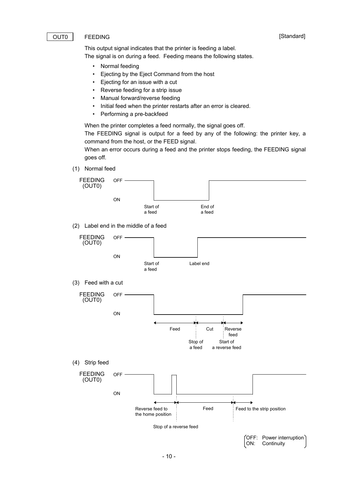#### [Standard]

#### OUT0 FEEDING

This output signal indicates that the printer is feeding a label.

The signal is on during a feed. Feeding means the following states.

- Normal feeding
- Ejecting by the Eject Command from the host
- Ejecting for an issue with a cut
- Reverse feeding for a strip issue
- Manual forward/reverse feeding
- Initial feed when the printer restarts after an error is cleared.
- Performing a pre-backfeed

When the printer completes a feed normally, the signal goes off.

The FEEDING signal is output for a feed by any of the following: the printer key, a command from the host, or the FEED signal.

When an error occurs during a feed and the printer stops feeding, the FEEDING signal goes off.

(1) Normal feed



(2) Label end in the middle of a feed

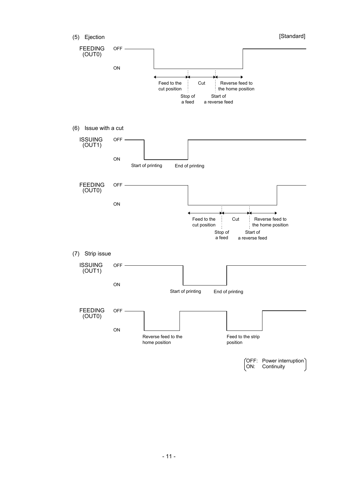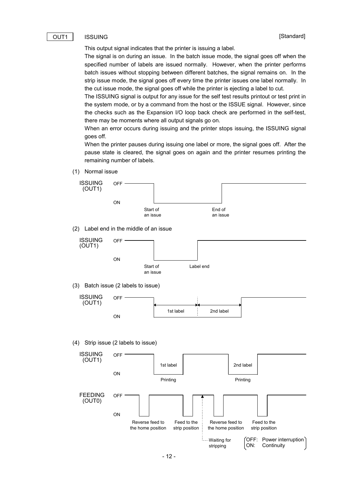#### OUT1 | ISSUING

This output signal indicates that the printer is issuing a label.

The signal is on during an issue. In the batch issue mode, the signal goes off when the specified number of labels are issued normally. However, when the printer performs batch issues without stopping between different batches, the signal remains on. In the strip issue mode, the signal goes off every time the printer issues one label normally. In the cut issue mode, the signal goes off while the printer is ejecting a label to cut.

The ISSUING signal is output for any issue for the self test results printout or test print in the system mode, or by a command from the host or the ISSUE signal. However, since the checks such as the Expansion I/O loop back check are performed in the self-test, there may be moments where all output signals go on.

When an error occurs during issuing and the printer stops issuing, the ISSUING signal goes off.

When the printer pauses during issuing one label or more, the signal goes off. After the pause state is cleared, the signal goes on again and the printer resumes printing the remaining number of labels.

(1) Normal issue



(2) Label end in the middle of an issue



(3) Batch issue (2 labels to issue)



(4) Strip issue (2 labels to issue)

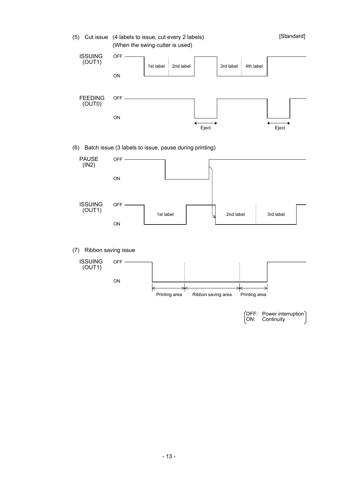(5) Cut issue (4 labels to issue, cut every 2 labels) (When the swing cutter is used)

ISSUING (OUT1) OFF 1st label 2nd label ON FEEDING (OUT0) OFF Eject Eject ON 3rd label 4th label

(6) Batch issue (3 labels to issue, pause during printing)



(7) Ribbon saving issue



(OFF: Power interruption)<br>ON: Continuity Continuity

[Standard]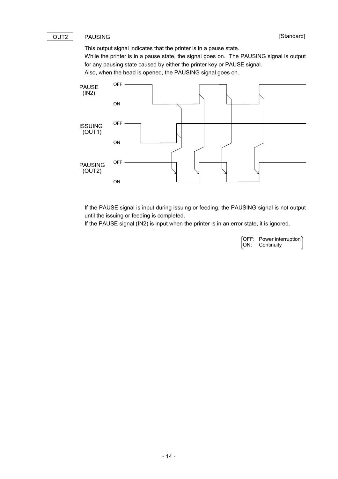#### [Standard]

#### OUT2 | PAUSING

This output signal indicates that the printer is in a pause state.

While the printer is in a pause state, the signal goes on. The PAUSING signal is output for any pausing state caused by either the printer key or PAUSE signal. Also, when the head is opened, the PAUSING signal goes on.



If the PAUSE signal is input during issuing or feeding, the PAUSING signal is not output until the issuing or feeding is completed.

If the PAUSE signal (IN2) is input when the printer is in an error state, it is ignored.

OFF: Power interruption Continuity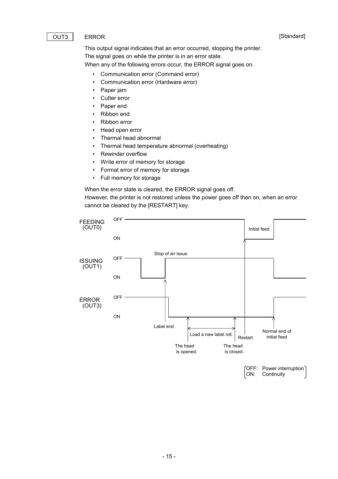#### [Standard]

#### OUT3 | ERROR

This output signal indicates that an error occurred, stopping the printer. The signal goes on while the printer is in an error state. When any of the following errors occur, the ERROR signal goes on.

- Communication error (Command error)
- Communication error (Hardware error)
- Paper jam
- Cutter error
- Paper end
- Ribbon end
- Ribbon error
- Head open error
- Thermal head abnormal
- Thermal head temperature abnormal (overheating)
- Rewinder overflow
- Write error of memory for storage
- Format error of memory for storage
- Full memory for storage

When the error state is cleared, the ERROR signal goes off.

However, the printer is not restored unless the power goes off then on, when an error cannot be cleared by the [RESTART] key.

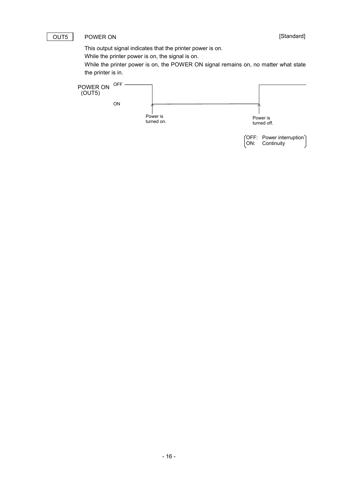#### OUT5 | POWER ON

[Standard]

This output signal indicates that the printer power is on.

While the printer power is on, the signal is on.

While the printer power is on, the POWER ON signal remains on, no matter what state the printer is in.

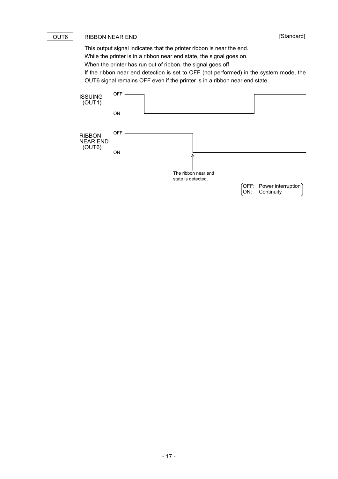#### OUT6 | RIBBON NEAR END

[Standard]

This output signal indicates that the printer ribbon is near the end. While the printer is in a ribbon near end state, the signal goes on.

When the printer has run out of ribbon, the signal goes off.

If the ribbon near end detection is set to OFF (not performed) in the system mode, the OUT6 signal remains OFF even if the printer is in a ribbon near end state.

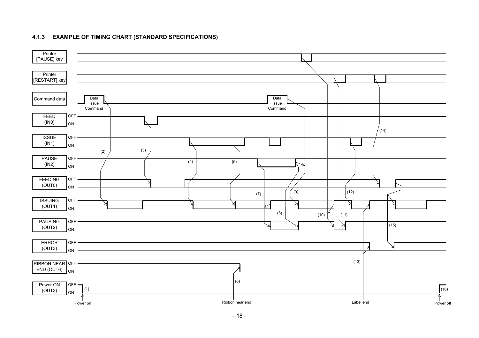#### **4.1.3 EXAMPLE OF TIMING CHART (STANDARD SPECIFICATIONS)**

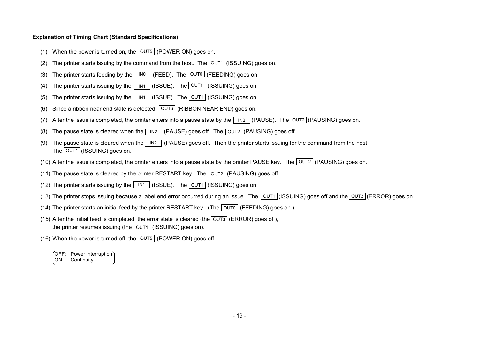#### **Explanation of Timing Chart (Standard Specifications)**

- (1) When the power is turned on, the  $\lfloor$  OUT5  $\rfloor$  (POWER ON) goes on.
- (2) The printer starts issuing by the command from the host. The  $\vert$  OUT1  $\vert$  (ISSUING) goes on.
- (3) The printer starts feeding by the LINO STEED). The LOUTO (FEEDING) goes on.
- (4) The printer starts issuing by the  $\mid$  IN1  $\mid$  (ISSUE). The  $\mid$  OUT1 (ISSUING) goes on.
- (5) The printer starts issuing by the  $\mid$  IN1  $\mid$  (ISSUE). The  $\mid$  OUT1  $\mid$  (ISSUING) goes on.
- (6) Since a ribbon near end state is detected, [OUT6] (RIBBON NEAR END) goes on.
- (7) After the issue is completed, the printer enters into a pause state by the  $\mid$  <code>IN2</code>  $\mid$  (PAUSE). The <code> $\mid$ OUT2</code>  $\mid$  (PAUSING) goes on.
- (8)  $\,$  The pause state is cleared when the  $\,|\,$  IN2  $\,$  (PAUSE) goes off. The  $|\,$  OUT2  $|$  (PAUSING) goes off.
- (9)  $\,$  The pause state is cleared when the  $\,$  IN2  $\,$  (PAUSE) goes off. Then the printer starts issuing for the command from the host. The [OUT1 ](ISSUING) goes on.
- (10) After the issue is completed, the printer enters into a pause state by the printer PAUSE key. The [OUT2] (PAUSING) goes on.
- (11) The pause state is cleared by the printer RESTART key. The  $\mid$  OUT2  $\mid$  (PAUSING) goes off.
- (12) The printer starts issuing by the  $\lfloor$  IN1  $\rfloor$  (ISSUE). The  $\lfloor$  OUT1  $\rfloor$  (ISSUING) goes on.
- (13) The printer stops issuing because a label end error occurred during an issue. The [OUT1](ISSUING) goes off and the[OUT3](ERROR) goes on.
- (14) The printer starts an initial feed by the printer RESTART key. (The  $\mid$  OUT0  $\mid$  (FEEDING) goes on.)
- (15) After the initial feed is completed, the error state is cleared (the (ERROR) goes off), OUT3the printer resumes issuing (the | OUT1 | (ISSUING) goes on).
- (16) When the power is turned off, the  $\mid$  OUT5  $\mid$  (POWER ON) goes off.
	- OFF: Power interruption ON: Continuity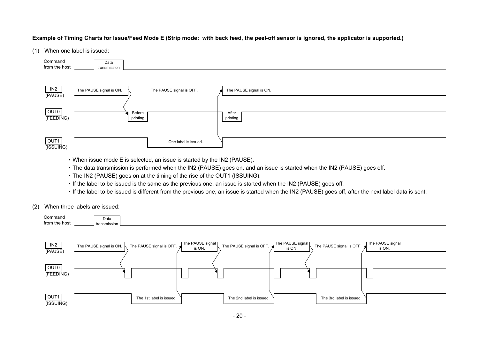#### **Example of Timing Charts for Issue/Feed Mode E (Strip mode: with back feed, the peel-off sensor is ignored, the applicator is supported.)**

#### (1) When one label is issued:



- When issue mode E is selected, an issue is started by the IN2 (PAUSE).
- The data transmission is performed when the IN2 (PAUSE) goes on, and an issue is started when the IN2 (PAUSE) goes off.
- The IN2 (PAUSE) goes on at the timing of the rise of the OUT1 (ISSUING).
- If the label to be issued is the same as the previous one, an issue is started when the IN2 (PAUSE) goes off.
- If the label to be issued is different from the previous one, an issue is started when the IN2 (PAUSE) goes off, after the next label data is sent.
- (2) When three labels are issued:

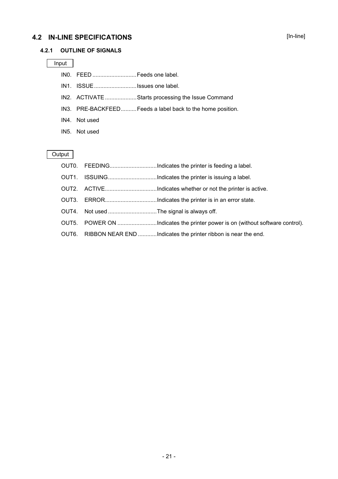### **4.2 IN-LINE SPECIFICATIONS**

#### [In-line]

#### **4.2.1 OUTLINE OF SIGNALS**

#### Input

- IN0. FEED ............................Feeds one label.
- IN1. ISSUE...........................Issues one label.
- IN2. ACTIVATE ....................Starts processing the Issue Command
- IN3. PRE-BACKFEED..........Feeds a label back to the home position.
- IN4. Not used
- IN5. Not used

**Output** 

#### OUT0. FEEDING..............................Indicates the printer is feeding a label.

- OUT1. ISSUING.................................Indicates the printer is issuing a label.
- OUT2. ACTIVE...................................Indicates whether or not the printer is active.
- OUT3. ERROR.................................Indicates the printer is in an error state.
- OUT4. Not used ...............................The signal is always off.
- OUT5. POWER ON ..............................Indicates the printer power is on (without software control).
- OUT6. RIBBON NEAR END ............Indicates the printer ribbon is near the end.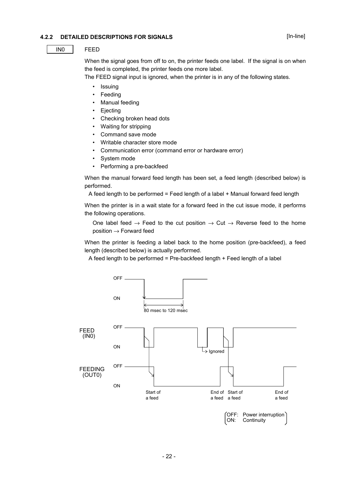#### **4.2.2 DETAILED DESCRIPTIONS FOR SIGNALS**

#### IN0 FEED

When the signal goes from off to on, the printer feeds one label. If the signal is on when the feed is completed, the printer feeds one more label.

The FEED signal input is ignored, when the printer is in any of the following states.

- Issuing
- **Feeding**
- Manual feeding
- **Ejecting**
- Checking broken head dots
- Waiting for stripping
- Command save mode
- Writable character store mode
- Communication error (command error or hardware error)
- System mode
- Performing a pre-backfeed

When the manual forward feed length has been set, a feed length (described below) is performed.

A feed length to be performed = Feed length of a label + Manual forward feed length

When the printer is in a wait state for a forward feed in the cut issue mode, it performs the following operations.

One label feed  $\rightarrow$  Feed to the cut position  $\rightarrow$  Cut  $\rightarrow$  Reverse feed to the home  $position \rightarrow Forward$  feed

When the printer is feeding a label back to the home position (pre-backfeed), a feed length (described below) is actually performed.

A feed length to be performed = Pre-backfeed length + Feed length of a label

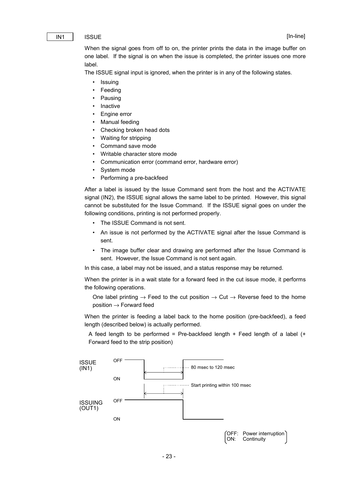#### IN1 | ISSUE

When the signal goes from off to on, the printer prints the data in the image buffer on one label. If the signal is on when the issue is completed, the printer issues one more label.

The ISSUE signal input is ignored, when the printer is in any of the following states.

- Issuing
- **Feeding**
- Pausing
- **Inactive**
- Engine error
- Manual feeding
- Checking broken head dots
- Waiting for stripping
- Command save mode
- Writable character store mode
- Communication error (command error, hardware error)
- System mode
- Performing a pre-backfeed

After a label is issued by the Issue Command sent from the host and the ACTIVATE signal (IN2), the ISSUE signal allows the same label to be printed. However, this signal cannot be substituted for the Issue Command. If the ISSUE signal goes on under the following conditions, printing is not performed properly.

- The ISSUE Command is not sent.
- An issue is not performed by the ACTIVATE signal after the Issue Command is sent.
- The image buffer clear and drawing are performed after the Issue Command is sent. However, the Issue Command is not sent again.

In this case, a label may not be issued, and a status response may be returned.

When the printer is in a wait state for a forward feed in the cut issue mode, it performs the following operations.

One label printing  $\rightarrow$  Feed to the cut position  $\rightarrow$  Cut  $\rightarrow$  Reverse feed to the home position → Forward feed

When the printer is feeding a label back to the home position (pre-backfeed), a feed length (described below) is actually performed.

A feed length to be performed = Pre-backfeed length  $+$  Feed length of a label  $(+)$ Forward feed to the strip position)

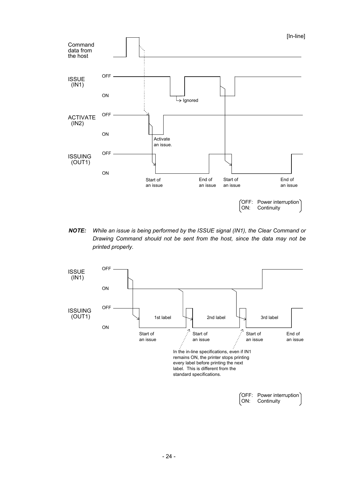

*NOTE: While an issue is being performed by the ISSUE signal (IN1), the Clear Command or Drawing Command should not be sent from the host, since the data may not be printed properly.*

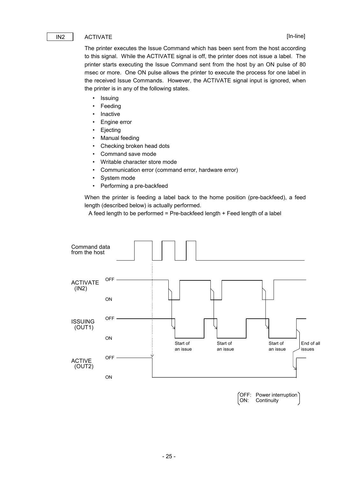#### IN2 ACTIVATE

The printer executes the Issue Command which has been sent from the host according to this signal. While the ACTIVATE signal is off, the printer does not issue a label. The printer starts executing the Issue Command sent from the host by an ON pulse of 80 msec or more. One ON pulse allows the printer to execute the process for one label in the received Issue Commands. However, the ACTIVATE signal input is ignored, when the printer is in any of the following states.

- Issuing
- Feeding
- **Inactive**
- Engine error
- **Ejecting**
- Manual feeding
- Checking broken head dots
- Command save mode
- Writable character store mode
- Communication error (command error, hardware error)
- System mode
- Performing a pre-backfeed

When the printer is feeding a label back to the home position (pre-backfeed), a feed length (described below) is actually performed.

A feed length to be performed = Pre-backfeed length + Feed length of a label



OFF: Power interruption Continuity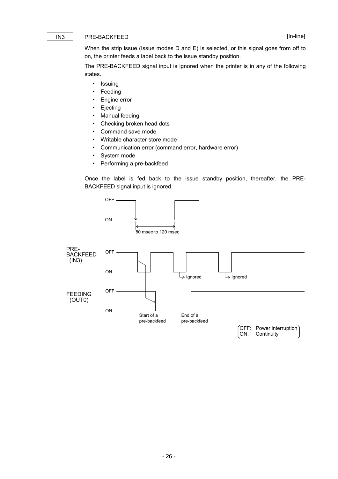#### IN3 PRE-BACKFEED

When the strip issue (Issue modes D and E) is selected, or this signal goes from off to on, the printer feeds a label back to the issue standby position.

The PRE-BACKFEED signal input is ignored when the printer is in any of the following states.

- Issuing
- Feeding
- Engine error
- **Ejecting**
- Manual feeding
- Checking broken head dots
- Command save mode
- Writable character store mode
- Communication error (command error, hardware error)
- System mode
- Performing a pre-backfeed

Once the label is fed back to the issue standby position, thereafter, the PRE-BACKFEED signal input is ignored.

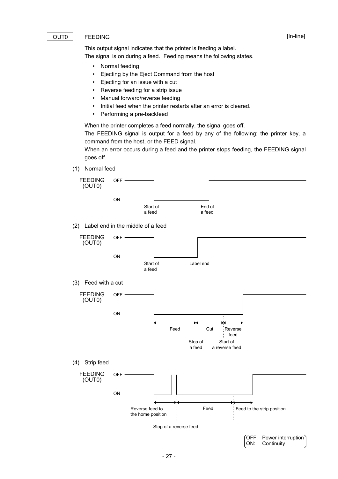#### OUT0 FEEDING

This output signal indicates that the printer is feeding a label.

The signal is on during a feed. Feeding means the following states.

- Normal feeding
- Ejecting by the Eject Command from the host
- Ejecting for an issue with a cut
- Reverse feeding for a strip issue
- Manual forward/reverse feeding
- Initial feed when the printer restarts after an error is cleared.
- Performing a pre-backfeed

When the printer completes a feed normally, the signal goes off.

The FEEDING signal is output for a feed by any of the following: the printer key, a command from the host, or the FEED signal.

When an error occurs during a feed and the printer stops feeding, the FEEDING signal goes off.

(1) Normal feed



(2) Label end in the middle of a feed



[In-line]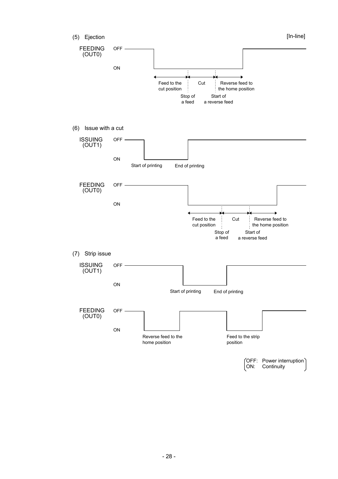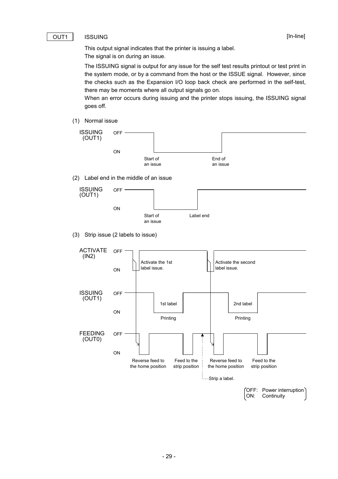#### [In-line]

#### OUT1 | ISSUING

This output signal indicates that the printer is issuing a label. The signal is on during an issue.

The ISSUING signal is output for any issue for the self test results printout or test print in the system mode, or by a command from the host or the ISSUE signal. However, since the checks such as the Expansion I/O loop back check are performed in the self-test, there may be moments where all output signals go on.

When an error occurs during issuing and the printer stops issuing, the ISSUING signal goes off.

(1) Normal issue



(2) Label end in the middle of an issue



(3) Strip issue (2 labels to issue)

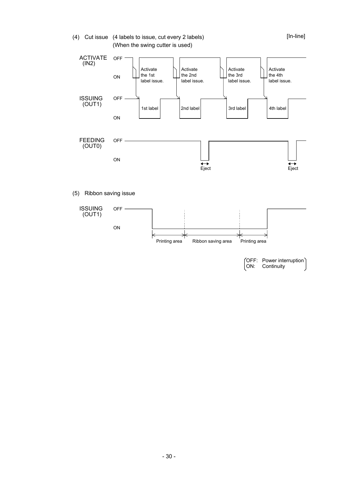#### (4) Cut issue (4 labels to issue, cut every 2 labels) (When the swing cutter is used)



#### (5) Ribbon saving issue



<sup>(</sup>OFF: Power interruption)<br>ON: Continuity Continuity

[In-line]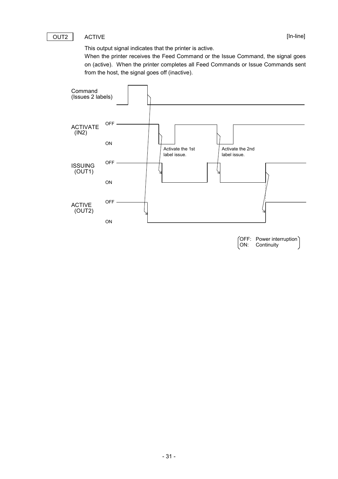#### OUT2 | ACTIVE

This output signal indicates that the printer is active.

When the printer receives the Feed Command or the Issue Command, the signal goes on (active). When the printer completes all Feed Commands or Issue Commands sent from the host, the signal goes off (inactive).



(OFF: Power interruption)<br>ON: Continuity Continuity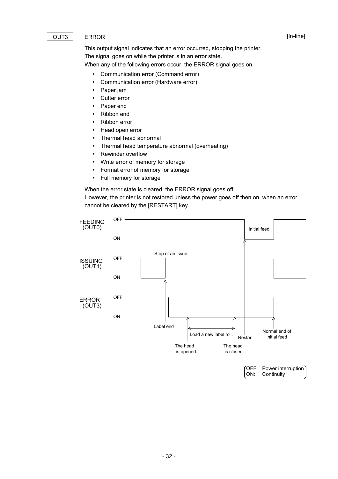#### OUT3 | ERROR

[In-line]

This output signal indicates that an error occurred, stopping the printer. The signal goes on while the printer is in an error state. When any of the following errors occur, the ERROR signal goes on.

- Communication error (Command error)
- Communication error (Hardware error)
- Paper jam
- Cutter error
- Paper end
- Ribbon end
- Ribbon error
- Head open error
- Thermal head abnormal
- Thermal head temperature abnormal (overheating)
- Rewinder overflow
- Write error of memory for storage
- Format error of memory for storage
- Full memory for storage

When the error state is cleared, the ERROR signal goes off.

However, the printer is not restored unless the power goes off then on, when an error cannot be cleared by the [RESTART] key.

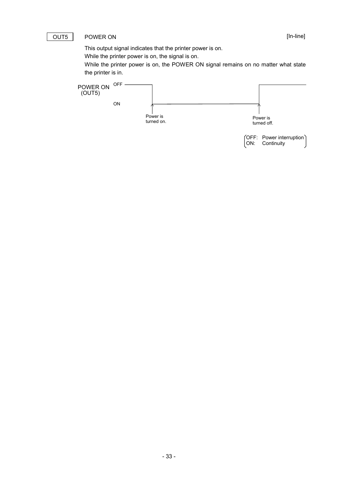#### OUT5 | POWER ON

This output signal indicates that the printer power is on.

While the printer power is on, the signal is on.

While the printer power is on, the POWER ON signal remains on no matter what state the printer is in.

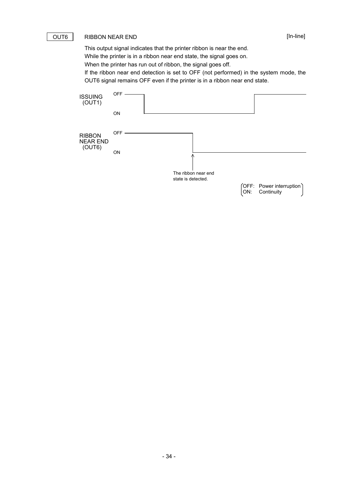#### OUT6 | RIBBON NEAR END

[In-line]

This output signal indicates that the printer ribbon is near the end. While the printer is in a ribbon near end state, the signal goes on.

When the printer has run out of ribbon, the signal goes off.

If the ribbon near end detection is set to OFF (not performed) in the system mode, the OUT6 signal remains OFF even if the printer is in a ribbon near end state.

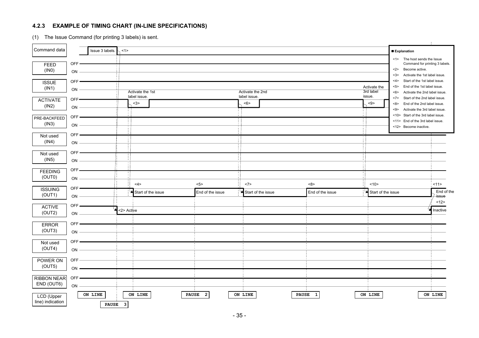### **4.2.3 EXAMPLE OF TIMING CHART (IN-LINE SPECIFICATIONS)**

(1) The Issue Command (for printing 3 labels) is sent.

|                                                   |                          |                         |                |                                         |              |                         |                                         |                    |              |                         |                                              |                                                                                                                                                                                                                                         | $\mathcal{F}_{\mathcal{F}}$ |
|---------------------------------------------------|--------------------------|-------------------------|----------------|-----------------------------------------|--------------|-------------------------|-----------------------------------------|--------------------|--------------|-------------------------|----------------------------------------------|-----------------------------------------------------------------------------------------------------------------------------------------------------------------------------------------------------------------------------------------|-----------------------------|
| Command data                                      |                          | Issue 3 labels.         | $\sim$ <1>     |                                         |              |                         |                                         |                    |              |                         |                                              | <b>Explanation</b>                                                                                                                                                                                                                      |                             |
| FEED<br>(INO)                                     | OFF<br>ON                |                         |                |                                         |              |                         |                                         |                    |              |                         |                                              | <1> The host sends the Issue<br>Command for printing 3 labels.<br>Become active.<br>$2$<br>3><br>Activate the 1st label issue.                                                                                                          |                             |
| <b>ISSUE</b><br>(IN1)<br><b>ACTIVATE</b><br>(IN2) | OFF-<br>ON<br>OFF-<br>ON |                         |                | Activate the 1st<br>label issue.<br>$3$ |              |                         | Activate the 2nd<br>label issue.<br><6> |                    |              |                         | Activate the<br>3rd label<br>issue.<br>< 9 > | Start of the 1st label issue.<br>42<br>End of the 1st label issue.<br>5 ><br>Activate the 2nd label issue.<br><6><br><7><br>Start of the 2nd label issue.<br>End of the 2nd label issue.<br><8><br>Activate the 3rd label issue.<br><9> |                             |
| PRE-BACKFEED<br>(IN3)                             | OFF·<br>ON               |                         |                |                                         |              |                         |                                         |                    |              |                         |                                              | <10> Start of the 3rd label issue.<br><11> End of the 3rd label issue.<br><12> Become inactive.                                                                                                                                         |                             |
| Not used<br>(IN4)                                 | OFF ·<br>ON              |                         |                |                                         |              |                         |                                         |                    |              |                         |                                              |                                                                                                                                                                                                                                         |                             |
| Not used<br>(1N5)                                 | OFF-<br>ON               |                         |                |                                         |              |                         |                                         |                    |              |                         |                                              |                                                                                                                                                                                                                                         |                             |
| <b>FEEDING</b><br>(OUT0)                          | OFF-<br>ON               |                         |                |                                         |              |                         |                                         |                    |              |                         |                                              |                                                                                                                                                                                                                                         |                             |
| <b>ISSUING</b><br>(OUT1)                          | OFF-<br>ON               |                         |                | <4><br>Start of the issue               |              | 5 ><br>End of the issue | <7>                                     | Start of the issue |              | <8><br>End of the issue | <10><br>Start of the issue                   |                                                                                                                                                                                                                                         | 11><br>End of the<br>issue  |
| <b>ACTIVE</b><br>(OUT2)                           | OFF-<br>ON               | یما                     | <2> Active     |                                         |              |                         |                                         |                    |              |                         |                                              |                                                                                                                                                                                                                                         | <12><br>Inactive            |
| <b>ERROR</b><br>(OUT3)                            | OFF-<br>ON               |                         |                |                                         |              |                         |                                         |                    |              |                         |                                              |                                                                                                                                                                                                                                         |                             |
| Not used<br>(OUT4)                                | OFF-<br>ON               |                         |                |                                         |              |                         |                                         |                    |              |                         |                                              |                                                                                                                                                                                                                                         |                             |
| POWER ON<br>(OUT5)                                | OFF<br>ON                |                         |                |                                         |              |                         |                                         |                    |              |                         |                                              |                                                                                                                                                                                                                                         |                             |
| <b>RIBBON NEAR</b><br>END (OUT6)                  | OFF<br>ON                |                         |                |                                         |              |                         |                                         |                    |              |                         |                                              |                                                                                                                                                                                                                                         |                             |
| LCD (Upper<br>line) indication                    |                          | ON LINE<br><b>PAUSE</b> | $\overline{3}$ | ON LINE                                 | <b>PAUSE</b> | $\overline{2}$          | ON LINE                                 |                    | <b>PAUSE</b> | $\mathbf{1}$            | ON LINE                                      |                                                                                                                                                                                                                                         | ON LINE                     |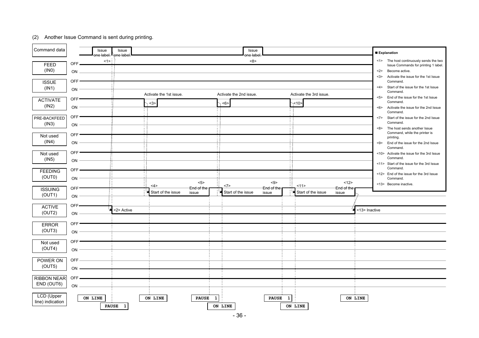#### (2) Another Issue Command is sent during printing.

 $\sim$ 

| Command data                                  |                                      | Issue<br>one label. <sup>I∖</sup> one label | Issue        |                                |                     |                                | Issue<br>one label |                              |              |                         |                     |               | <b>Explanation</b> |                                                                                                                                                                                                           |
|-----------------------------------------------|--------------------------------------|---------------------------------------------|--------------|--------------------------------|---------------------|--------------------------------|--------------------|------------------------------|--------------|-------------------------|---------------------|---------------|--------------------|-----------------------------------------------------------------------------------------------------------------------------------------------------------------------------------------------------------|
| <b>FEED</b><br>(INO)<br><b>ISSUE</b><br>(IN1) | OFF.<br>ON<br>OFF <sup>®</sup><br>ON | <1>                                         |              |                                |                     |                                | <8>                |                              |              |                         |                     |               | <2><br><3><br><4>  | <1> The host continuously sends the two<br>Issue Commands for printing 1 label.<br>Become active.<br>Activate the issue for the 1st Issue<br>Command.<br>Start of the issue for the 1st Issue<br>Command. |
| <b>ACTIVATE</b><br>(IN2)                      | OFF <sup>®</sup><br>ON               |                                             |              | Activate the 1st issue.<br><3> |                     | Activate the 2nd issue.<br><6> |                    |                              | $\times$ 10> | Activate the 3rd issue. |                     |               | 5<br>$6$           | End of the issue for the 1st Issue<br>Command.<br>Activate the issue for the 2nd Issue<br>Command.                                                                                                        |
| PRE-BACKFEED<br>(IN3)                         | OFF <sup>®</sup><br>ON               |                                             |              |                                |                     |                                |                    |                              |              |                         |                     |               | <7><br><8>         | Start of the issue for the 2nd Issue<br>Command.<br>The host sends another Issue                                                                                                                          |
| Not used<br>(IN4)                             | OFF-<br>ON                           |                                             |              |                                |                     |                                |                    |                              |              |                         |                     |               |                    | Command, while the printer is<br>printing.<br><9> End of the issue for the 2nd Issue<br>Command.                                                                                                          |
| Not used<br>(1N5)                             | OFF <sup>-</sup><br>ON               |                                             |              |                                |                     |                                |                    |                              |              |                         |                     |               |                    | <10> Activate the issue for the 3rd Issue<br>Command.<br><11> Start of the issue for the 3rd Issue                                                                                                        |
| <b>FEEDING</b><br>(OUT0)                      | OFF.<br>ON                           |                                             |              |                                | $5$                 |                                |                    | < 9>                         |              |                         | 12>                 |               |                    | Command.<br><12> End of the issue for the 3rd Issue<br>Command.<br><13> Become inactive.                                                                                                                  |
| <b>ISSUING</b><br>(OUT1)                      | OFF <sup></sup><br>ON                |                                             |              | <4><br>Start of the issue      | End of the<br>issue | <7><br>Start of the issue      |                    | End of the<br>issue          | 11           | Start of the issue      | End of the<br>issue |               |                    |                                                                                                                                                                                                           |
| <b>ACTIVE</b><br>(OUT2)                       | OFF-<br>ON                           |                                             | <2> Active   |                                |                     |                                |                    |                              |              |                         |                     | <13> Inactive |                    |                                                                                                                                                                                                           |
| <b>ERROR</b><br>(OUT3)                        | OFF <sup>®</sup><br>ON               |                                             |              |                                |                     |                                |                    |                              |              |                         |                     |               |                    |                                                                                                                                                                                                           |
| Not used<br>(OUT4)                            | OFF <sup>-</sup><br>ON               |                                             |              |                                |                     |                                |                    |                              |              |                         |                     |               |                    |                                                                                                                                                                                                           |
| POWER ON<br>(OUT5)                            | OFF<br>ON                            |                                             |              |                                |                     |                                |                    |                              |              |                         |                     |               |                    |                                                                                                                                                                                                           |
| <b>RIBBON NEAR</b><br>END (OUT6)              | OFF<br>ON                            |                                             |              |                                |                     |                                |                    |                              |              |                         |                     |               |                    |                                                                                                                                                                                                           |
| <b>LCD</b> (Upper<br>line) indication         |                                      | ON LINE<br><b>PAUSE</b>                     | $\mathbf{1}$ | ON LINE                        | <b>PAUSE</b>        | 1<br>ON LINE                   |                    | <b>PAUSE</b><br>$\mathbf{1}$ | ON LINE      |                         |                     | ON LINE       |                    |                                                                                                                                                                                                           |

- 36 -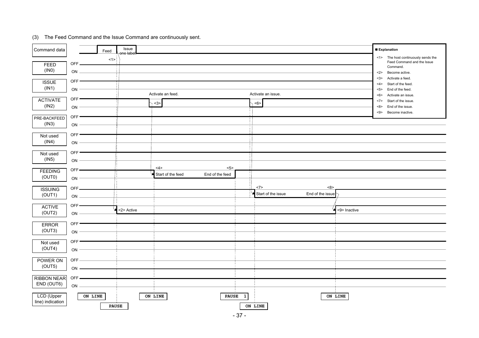| Command data                              |                                     | Feed         | Issue<br>one label |                     |                   |                 |              |                    |                  |              | <b>Explanation</b>                                                                                                                                                                                                   |
|-------------------------------------------|-------------------------------------|--------------|--------------------|---------------------|-------------------|-----------------|--------------|--------------------|------------------|--------------|----------------------------------------------------------------------------------------------------------------------------------------------------------------------------------------------------------------------|
| FEED<br>(INO)<br><b>ISSUE</b><br>(IN1)    | OFF.<br>ON<br>OFF <sup></sup><br>ON | <1><br>i.    |                    | Activate an feed.   |                   |                 |              | Activate an issue. |                  |              | <1> The host continuously sends the<br>Feed Command and the Issue<br>Command.<br>Become active.<br>$2$<br><3><br>Activate a feed.<br>Start of the feed.<br><4><br>End of the feed.<br>5<br>Activate an issue.<br><6> |
| <b>ACTIVATE</b><br>(IN2)                  | OFF-<br>ON                          |              |                    | $\langle 3 \rangle$ |                   |                 |              | <6>                |                  |              | Start of the issue.<br><7><br>End of the issue.<br><8><br>Become inactive.<br><9>                                                                                                                                    |
| PRE-BACKFEED<br>(IN3)                     | OFF <sup>*</sup><br>ON              |              |                    |                     |                   |                 |              |                    |                  |              |                                                                                                                                                                                                                      |
| Not used<br>(IN4)                         | OFF-<br>ON                          |              |                    |                     |                   |                 |              |                    |                  |              |                                                                                                                                                                                                                      |
| Not used<br>(1N5)                         | OFF <sup>-</sup><br>ON<br>$OFF -$   |              |                    | 4>                  |                   | 5 >             |              |                    |                  |              |                                                                                                                                                                                                                      |
| <b>FEEDING</b><br>(OUT0)                  | ON<br>OFF.                          |              |                    |                     | Start of the feed | End of the feed |              | <7>                | <8>              |              |                                                                                                                                                                                                                      |
| <b>ISSUING</b><br>(OUT1)<br><b>ACTIVE</b> | ON<br>OFF-                          |              |                    |                     |                   |                 |              | Start of the issue | End of the issue |              |                                                                                                                                                                                                                      |
| (OUT2)<br><b>ERROR</b>                    | ON<br>OFF-                          |              | <2> Active         |                     |                   |                 |              |                    |                  | <9> Inactive |                                                                                                                                                                                                                      |
| (OUT3)<br>Not used                        | ON<br>OFF-                          |              |                    |                     |                   |                 |              |                    |                  |              |                                                                                                                                                                                                                      |
| (OUT4)<br>POWER ON                        | ON<br>OFF                           |              |                    |                     |                   |                 |              |                    |                  |              |                                                                                                                                                                                                                      |
| (OUT5)<br><b>RIBBON NEAR</b>              | $ON -$<br>OFF.                      |              |                    |                     |                   |                 |              |                    |                  |              |                                                                                                                                                                                                                      |
| END (OUT6)<br>LCD (Upper                  | ON<br>ON LINE                       |              |                    | ON LINE             |                   | <b>PAUSE</b>    | $\mathbf{1}$ |                    |                  | ON LINE      |                                                                                                                                                                                                                      |
| line) indication                          |                                     | <b>PAUSE</b> |                    |                     |                   |                 |              | ON LINE            |                  |              |                                                                                                                                                                                                                      |

#### (3) The Feed Command and the Issue Command are continuously sent.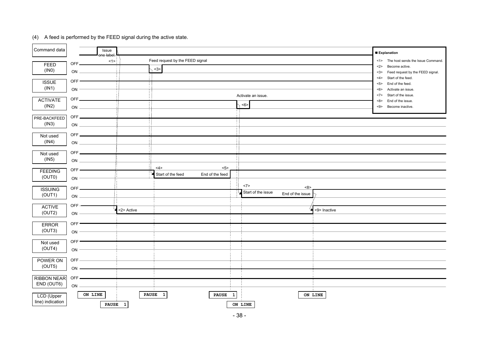| Command data                             | Issue                          |                              |                                                  |              |                                                      |              | <b>Explanation</b>                                                                                                                   |
|------------------------------------------|--------------------------------|------------------------------|--------------------------------------------------|--------------|------------------------------------------------------|--------------|--------------------------------------------------------------------------------------------------------------------------------------|
| FEED<br>(1N0)                            | one label<br>OFF.<br>ON        | <1>                          | Feed request by the FEED signal<br>$3$           |              |                                                      |              | <1> The host sends the Issue Command.<br>Become active.<br>2<br>3 ><br>Feed request by the FEED signal.<br>Start of the feed.<br><4> |
| <b>ISSUE</b><br>(IN1)<br><b>ACTIVATE</b> | OFF <sup>®</sup><br>ON<br>OFF. |                              |                                                  |              | Activate an issue.                                   |              | End of the feed.<br>5 ><br>Activate an issue.<br><6><br>Start of the issue.<br><7><br><8><br>End of the issue.                       |
| (IN2)                                    | ON                             |                              |                                                  |              | <6>                                                  |              | Become inactive.<br>< 9                                                                                                              |
| PRE-BACKFEED<br>(IN3)                    | OFF.<br>ON                     |                              |                                                  |              |                                                      |              |                                                                                                                                      |
| Not used<br>(IN4)                        | OFF-<br>$\mathsf{ON}$          |                              |                                                  |              |                                                      |              |                                                                                                                                      |
| Not used<br>(1N5)                        | OFF-<br>ON                     |                              |                                                  |              |                                                      |              |                                                                                                                                      |
| <b>FEEDING</b><br>(OUT0)                 | $OFF =$<br>ON                  |                              | 5<br><4><br>End of the feed<br>Start of the feed |              |                                                      |              |                                                                                                                                      |
| <b>ISSUING</b><br>(OUT1)                 | OFF-<br>ON                     |                              |                                                  |              | <7><br><8><br>Start of the issue<br>End of the issue |              |                                                                                                                                      |
| <b>ACTIVE</b><br>(OUT2)                  | OFF $\rightarrow$<br>$ON -$    | <2> Active                   |                                                  |              |                                                      | <9> Inactive |                                                                                                                                      |
| <b>ERROR</b><br>(OUT3)                   | OFF <sup>.</sup><br>ON         |                              |                                                  |              |                                                      |              |                                                                                                                                      |
| Not used<br>(OUT4)                       | OFF<br>ON                      |                              |                                                  |              |                                                      |              |                                                                                                                                      |
| POWER ON<br>(OUT5)                       | OFF<br>ON -                    |                              |                                                  |              |                                                      |              |                                                                                                                                      |
| <b>RIBBON NEAR</b><br>END (OUT6)         | $OFF -$<br>$ON -$              |                              |                                                  |              |                                                      |              |                                                                                                                                      |
| LCD (Upper<br>line) indication           | ON LINE<br><b>PAUSE</b>        | <b>PAUSE</b><br>$\mathbf{1}$ | $\mathbf{1}$<br><b>PAUSE</b>                     | $\mathbf{1}$ | ON LINE                                              | ON LINE      |                                                                                                                                      |

#### (4) A feed is performed by the FEED signal during the active state.

 $\overline{\phantom{0}}$